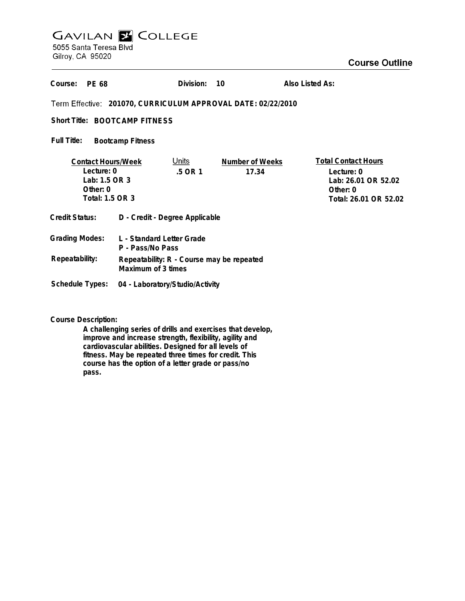# **GAVILAN E COLLEGE** 5055 Santa Teresa Blvd

Gilroy, CA 95020

## **Course Outline**

| Course:<br>PF 68                                                                          |                                                                 | Division:               | 10                       | Also Listed As:                                                                                      |  |
|-------------------------------------------------------------------------------------------|-----------------------------------------------------------------|-------------------------|--------------------------|------------------------------------------------------------------------------------------------------|--|
| Term Effective: 201070, CURRICULUM APPROVAL DATE: 02/22/2010                              |                                                                 |                         |                          |                                                                                                      |  |
| Short Title: BOOTCAMP FITNESS                                                             |                                                                 |                         |                          |                                                                                                      |  |
| Full Title:<br><b>Bootcamp Fitness</b>                                                    |                                                                 |                         |                          |                                                                                                      |  |
| <b>Contact Hours/Week</b><br>Lecture: 0<br>Lab: 1.5 OR 3<br>Other: $0$<br>Total: 1.5 OR 3 |                                                                 | <u>Units</u><br>.5 OR 1 | Number of Weeks<br>17.34 | <b>Total Contact Hours</b><br>Lecture: 0<br>Lab: 26.01 OR 52.02<br>Other: 0<br>Total: 26.01 OR 52.02 |  |
| Credit Status:                                                                            | D - Credit - Degree Applicable                                  |                         |                          |                                                                                                      |  |
| <b>Grading Modes:</b>                                                                     | L - Standard Letter Grade<br>P - Pass/No Pass                   |                         |                          |                                                                                                      |  |
| Repeatability:                                                                            | Repeatability: R - Course may be repeated<br>Maximum of 3 times |                         |                          |                                                                                                      |  |
| <b>Schedule Types:</b>                                                                    | 04 - Laboratory/Studio/Activity                                 |                         |                          |                                                                                                      |  |

**Course Description:**

**A challenging series of drills and exercises that develop, improve and increase strength, flexibility, agility and cardiovascular abilities. Designed for all levels of fitness. May be repeated three times for credit. This course has the option of a letter grade or pass/no pass.**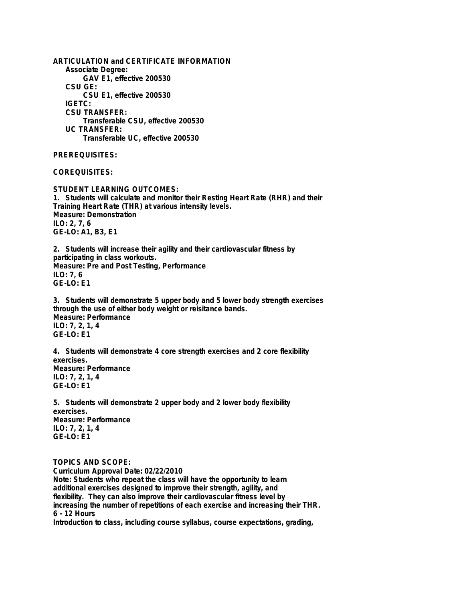**ARTICULATION and CERTIFICATE INFORMATION Associate Degree: GAV E1, effective 200530 CSU GE: CSU E1, effective 200530 IGETC: CSU TRANSFER: Transferable CSU, effective 200530 UC TRANSFER: Transferable UC, effective 200530 PREREQUISITES: COREQUISITES: STUDENT LEARNING OUTCOMES: 1. Students will calculate and monitor their Resting Heart Rate (RHR) and their Training Heart Rate (THR) at various intensity levels. Measure: Demonstration ILO: 2, 7, 6 GE-LO: A1, B3, E1 2. Students will increase their agility and their cardiovascular fitness by participating in class workouts. Measure: Pre and Post Testing, Performance ILO: 7, 6 GE-LO: E1 3. Students will demonstrate 5 upper body and 5 lower body strength exercises through the use of either body weight or reisitance bands. Measure: Performance ILO: 7, 2, 1, 4 GE-LO: E1 4. Students will demonstrate 4 core strength exercises and 2 core flexibility exercises. Measure: Performance ILO: 7, 2, 1, 4 GE-LO: E1 5. Students will demonstrate 2 upper body and 2 lower body flexibility exercises. Measure: Performance ILO: 7, 2, 1, 4 GE-LO: E1 TOPICS AND SCOPE: Curriculum Approval Date: 02/22/2010 Note: Students who repeat the class will have the opportunity to learn additional exercises designed to improve their strength, agility, and flexibility. They can also improve their cardiovascular fitness level by**

**increasing the number of repetitions of each exercise and increasing their THR. 6 - 12 Hours**

**Introduction to class, including course syllabus, course expectations, grading,**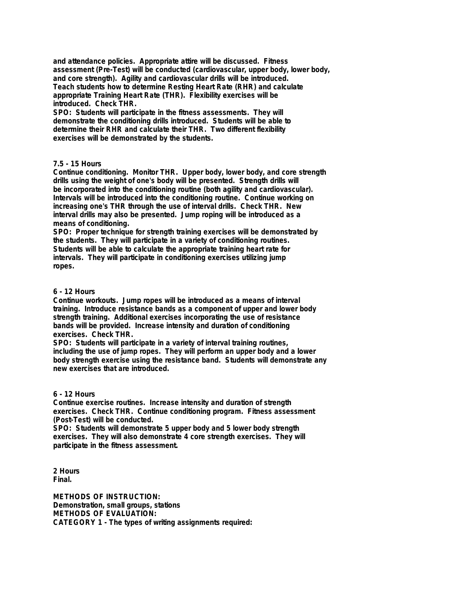**and attendance policies. Appropriate attire will be discussed. Fitness assessment (Pre-Test) will be conducted (cardiovascular, upper body, lower body, and core strength). Agility and cardiovascular drills will be introduced. Teach students how to determine Resting Heart Rate (RHR) and calculate appropriate Training Heart Rate (THR). Flexibility exercises will be introduced. Check THR.**

**SPO: Students will participate in the fitness assessments. They will demonstrate the conditioning drills introduced. Students will be able to determine their RHR and calculate their THR. Two different flexibility exercises will be demonstrated by the students.**

### **7.5 - 15 Hours**

**Continue conditioning. Monitor THR. Upper body, lower body, and core strength drills using the weight of one's body will be presented. Strength drills will be incorporated into the conditioning routine (both agility and cardiovascular). Intervals will be introduced into the conditioning routine. Continue working on increasing one's THR through the use of interval drills. Check THR. New interval drills may also be presented. Jump roping will be introduced as a means of conditioning.**

**SPO: Proper technique for strength training exercises will be demonstrated by the students. They will participate in a variety of conditioning routines. Students will be able to calculate the appropriate training heart rate for intervals. They will participate in conditioning exercises utilizing jump ropes.**

#### **6 - 12 Hours**

**Continue workouts. Jump ropes will be introduced as a means of interval training. Introduce resistance bands as a component of upper and lower body strength training. Additional exercises incorporating the use of resistance bands will be provided. Increase intensity and duration of conditioning exercises. Check THR.**

**SPO: Students will participate in a variety of interval training routines, including the use of jump ropes. They will perform an upper body and a lower body strength exercise using the resistance band. Students will demonstrate any new exercises that are introduced.**

#### **6 - 12 Hours**

**Continue exercise routines. Increase intensity and duration of strength exercises. Check THR. Continue conditioning program. Fitness assessment (Post-Test) will be conducted.**

**SPO: Students will demonstrate 5 upper body and 5 lower body strength exercises. They will also demonstrate 4 core strength exercises. They will participate in the fitness assessment.**

**2 Hours Final.**

**METHODS OF INSTRUCTION: Demonstration, small groups, stations METHODS OF EVALUATION: CATEGORY 1 - The types of writing assignments required:**